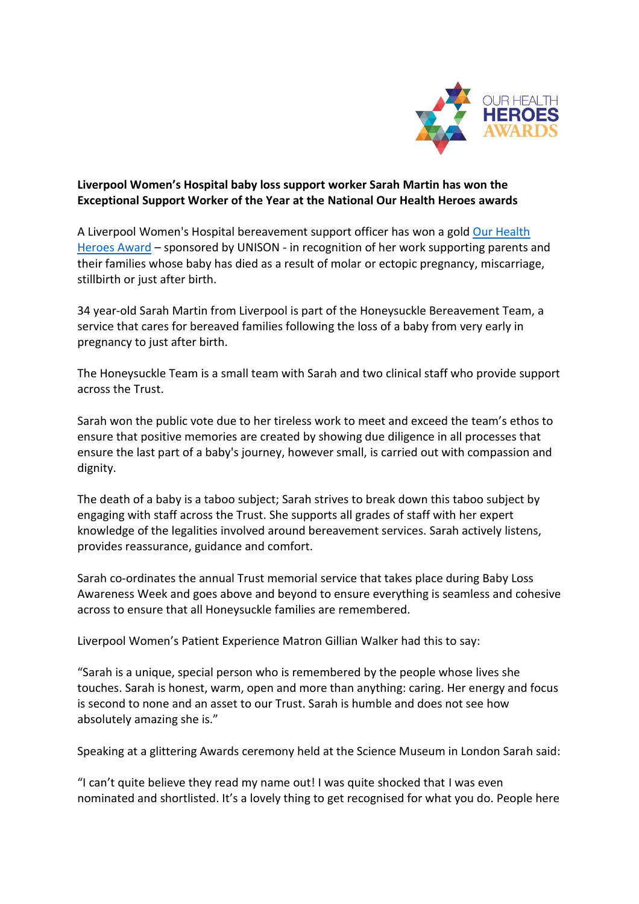

## **Liverpool Women's Hospital baby loss support worker Sarah Martin has won the Exceptional Support Worker of the Year at the National Our Health Heroes awards**

A Liverpool Women's Hospital bereavement support officer has won a gold [Our Health](https://www.skillsforhealth.org.uk/about-us/our-health-heroes-awards/)  [Heroes Award](https://www.skillsforhealth.org.uk/about-us/our-health-heroes-awards/) – sponsored by UNISON - in recognition of her work supporting parents and their families whose baby has died as a result of molar or ectopic pregnancy, miscarriage, stillbirth or just after birth.

34 year-old Sarah Martin from Liverpool is part of the Honeysuckle Bereavement Team, a service that cares for bereaved families following the loss of a baby from very early in pregnancy to just after birth.

The Honeysuckle Team is a small team with Sarah and two clinical staff who provide support across the Trust.

Sarah won the public vote due to her tireless work to meet and exceed the team's ethos to ensure that positive memories are created by showing due diligence in all processes that ensure the last part of a baby's journey, however small, is carried out with compassion and dignity.

The death of a baby is a taboo subject; Sarah strives to break down this taboo subject by engaging with staff across the Trust. She supports all grades of staff with her expert knowledge of the legalities involved around bereavement services. Sarah actively listens, provides reassurance, guidance and comfort.

Sarah co-ordinates the annual Trust memorial service that takes place during Baby Loss Awareness Week and goes above and beyond to ensure everything is seamless and cohesive across to ensure that all Honeysuckle families are remembered.

Liverpool Women's Patient Experience Matron Gillian Walker had this to say:

"Sarah is a unique, special person who is remembered by the people whose lives she touches. Sarah is honest, warm, open and more than anything: caring. Her energy and focus is second to none and an asset to our Trust. Sarah is humble and does not see how absolutely amazing she is."

Speaking at a glittering Awards ceremony held at the Science Museum in London Sarah said:

"I can't quite believe they read my name out! I was quite shocked that I was even nominated and shortlisted. It's a lovely thing to get recognised for what you do. People here